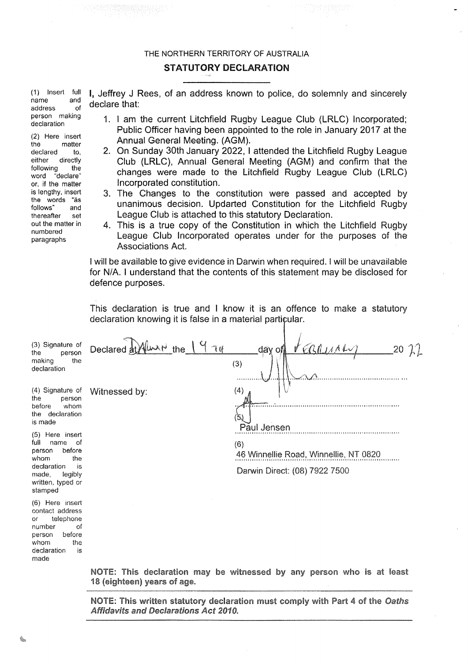### THE NORTHERN TERRITORY OF AUSTRALIA

### **STATUTORY DECLARATION**

(1) Insert full name and address of person making declaration

(2) Here insert matter the declared to. either directly following the word "declare" or, if the matter is lengthy, insert the words "as follows" and thereafter set out the matter in numbered paragraphs

I, Jeffrey J Rees, of an address known to police, do solemnly and sincerely declare that:

- 1. I am the current Litchfield Rugby League Club (LRLC) Incorporated; Public Officer having been appointed to the role in January 2017 at the Annual General Meeting. (AGM).
- 2. On Sunday 30th January 2022, I attended the Litchfield Rugby League Club (LRLC), Annual General Meeting (AGM) and confirm that the changes were made to the Litchfield Rugby League Club (LRLC) Incorporated constitution.
- 3. The Changes to the constitution were passed and accepted by unanimous decision. Updarted Constitution for the Litchfield Rugby League Club is attached to this statutory Declaration.
- 4. This is a true copy of the Constitution in which the Litchfield Rugby League Club Incorporated operates under for the purposes of the **Associations Act.**

I will be available to give evidence in Darwin when required. I will be unavailable for N/A. I understand that the contents of this statement may be disclosed for defence purposes.

This declaration is true and I know it is an offence to make a statutory declaration knowing it is false in a material particular.

| (3) Signature of<br>the<br>person<br>the<br>making<br>declaration                                                                                                                                                                      | Declared at Alward the 19 Tu | VEBRUINE<br>2072<br>$day$ of<br>(3)                                                                 |
|----------------------------------------------------------------------------------------------------------------------------------------------------------------------------------------------------------------------------------------|------------------------------|-----------------------------------------------------------------------------------------------------|
| (4) Signature of<br>the<br>person<br>before<br>whom<br>the declaration<br>is made<br>(5) Here insert<br>full<br>name<br>0f<br>before<br>person<br>whom<br>the<br>declaration<br>is<br>made,<br>legibly<br>written, typed or<br>stamped | Witnessed by:                | (4)<br>Paul Jensen<br>(6)<br>46 Winnellie Road, Winnellie, NT 0820<br>Darwin Direct: (08) 7922 7500 |
| (6) Here insert<br>contact address<br>telephone<br>or<br>number<br>οf<br>before<br>person<br>whom<br>the<br>declaration<br>is<br>made                                                                                                  |                              |                                                                                                     |

NOTE: This declaration may be witnessed by any person who is at least 18 (eighteen) years of age.

NOTE: This written statutory declaration must comply with Part 4 of the Oaths Affidavits and Declarations Act 2010.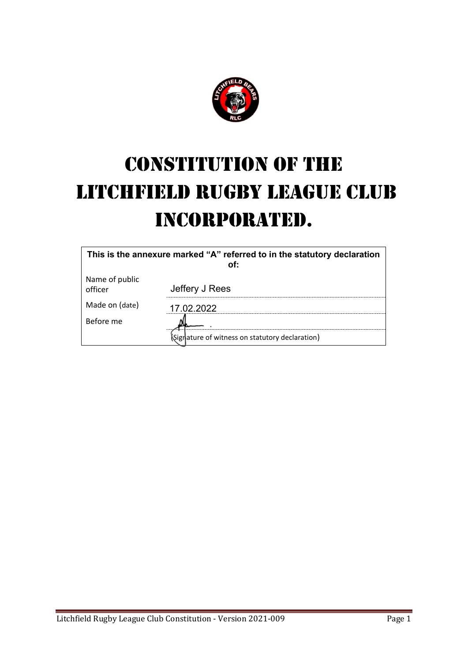

# CONSTITUTION OF THE LITCHFIELD RUGBY LEAGUE CLUB INCORPORATED.

| This is the annexure marked "A" referred to in the statutory declaration |                                               |  |  |
|--------------------------------------------------------------------------|-----------------------------------------------|--|--|
| Name of public<br>officer                                                | Jeffery J Rees                                |  |  |
| Made on (date)                                                           | 17.02.2022                                    |  |  |
| Before me                                                                |                                               |  |  |
|                                                                          | igrature of witness on statutory declaration) |  |  |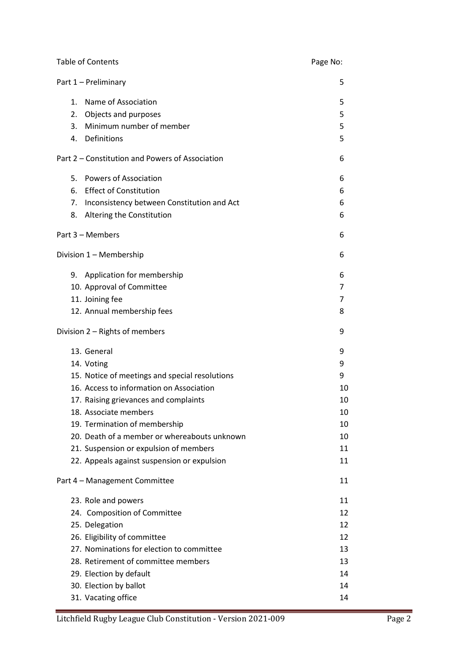| <b>Table of Contents</b>                        | Page No: |
|-------------------------------------------------|----------|
| Part 1 - Preliminary                            | 5        |
| Name of Association<br>$1_{-}$                  | 5        |
| Objects and purposes<br>2.                      | 5        |
| Minimum number of member<br>3.                  | 5        |
| 4. Definitions                                  | 5        |
| Part 2 – Constitution and Powers of Association | 6        |
| 5. Powers of Association                        | 6        |
| 6. Effect of Constitution                       | 6        |
| 7. Inconsistency between Constitution and Act   | 6        |
| 8.<br>Altering the Constitution                 | 6        |
| Part 3 - Members                                | 6        |
| Division 1 - Membership                         | 6        |
| 9. Application for membership                   | 6        |
| 10. Approval of Committee                       | 7        |
| 11. Joining fee                                 | 7        |
| 12. Annual membership fees                      | 8        |
| Division 2 - Rights of members                  | 9        |
| 13. General                                     | 9        |
| 14. Voting                                      | 9        |
| 15. Notice of meetings and special resolutions  | 9        |
| 16. Access to information on Association        | 10       |
| 17. Raising grievances and complaints           | 10       |
| 18. Associate members                           | 10       |
| 19. Termination of membership                   | 10       |
| 20. Death of a member or whereabouts unknown    | 10       |
| 21. Suspension or expulsion of members          | 11       |
| 22. Appeals against suspension or expulsion     | 11       |
| Part 4 - Management Committee                   | 11       |
| 23. Role and powers                             | 11       |
| 24. Composition of Committee                    | 12       |
| 25. Delegation                                  | 12       |
| 26. Eligibility of committee                    | 12       |
| 27. Nominations for election to committee       | 13       |
| 28. Retirement of committee members             | 13       |
| 29. Election by default                         | 14       |
| 30. Election by ballot                          | 14       |
| 31. Vacating office                             | 14       |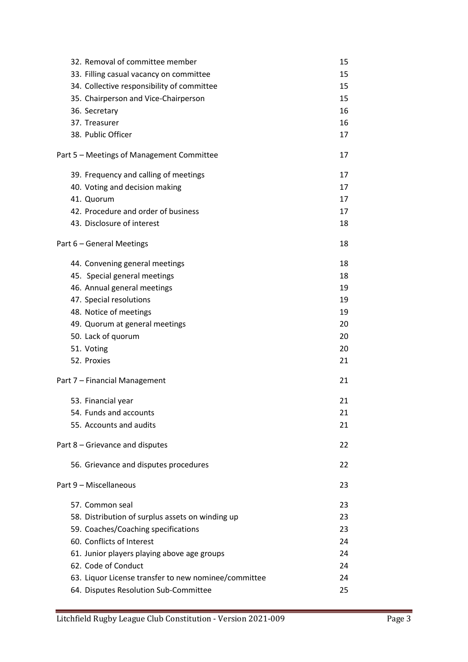| 32. Removal of committee member                      | 15 |
|------------------------------------------------------|----|
| 33. Filling casual vacancy on committee              | 15 |
| 34. Collective responsibility of committee           | 15 |
| 35. Chairperson and Vice-Chairperson                 | 15 |
| 36. Secretary                                        | 16 |
| 37. Treasurer                                        | 16 |
| 38. Public Officer                                   | 17 |
|                                                      |    |
| Part 5 – Meetings of Management Committee            | 17 |
| 39. Frequency and calling of meetings                | 17 |
| 40. Voting and decision making                       | 17 |
| 41. Quorum                                           | 17 |
| 42. Procedure and order of business                  | 17 |
| 43. Disclosure of interest                           | 18 |
| Part 6 - General Meetings                            | 18 |
| 44. Convening general meetings                       | 18 |
| 45. Special general meetings                         | 18 |
| 46. Annual general meetings                          | 19 |
| 47. Special resolutions                              | 19 |
| 48. Notice of meetings                               | 19 |
| 49. Quorum at general meetings                       | 20 |
| 50. Lack of quorum                                   | 20 |
| 51. Voting                                           | 20 |
| 52. Proxies                                          | 21 |
| Part 7 - Financial Management                        | 21 |
| 53. Financial year                                   | 21 |
| 54. Funds and accounts                               | 21 |
| 55. Accounts and audits                              | 21 |
| Part 8 – Grievance and disputes                      | 22 |
| 56. Grievance and disputes procedures                | 22 |
| Part 9 - Miscellaneous                               | 23 |
| 57. Common seal                                      | 23 |
| 58. Distribution of surplus assets on winding up     | 23 |
| 59. Coaches/Coaching specifications                  | 23 |
| 60. Conflicts of Interest                            | 24 |
| 61. Junior players playing above age groups          | 24 |
| 62. Code of Conduct                                  | 24 |
| 63. Liquor License transfer to new nominee/committee | 24 |
| 64. Disputes Resolution Sub-Committee                | 25 |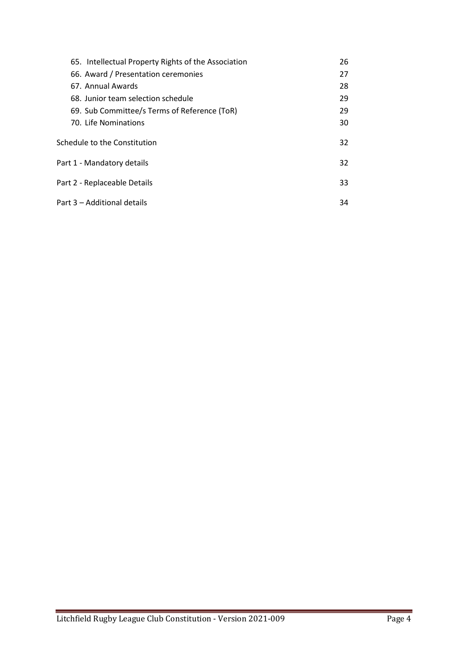| 65. Intellectual Property Rights of the Association | 26 |
|-----------------------------------------------------|----|
| 66. Award / Presentation ceremonies                 | 27 |
| 67. Annual Awards                                   | 28 |
| 68. Junior team selection schedule                  | 29 |
| 69. Sub Committee/s Terms of Reference (ToR)        | 29 |
| 70. Life Nominations                                | 30 |
| Schedule to the Constitution                        | 32 |
| Part 1 - Mandatory details                          |    |
| Part 2 - Replaceable Details                        | 33 |
| Part 3 – Additional details                         | 34 |
|                                                     |    |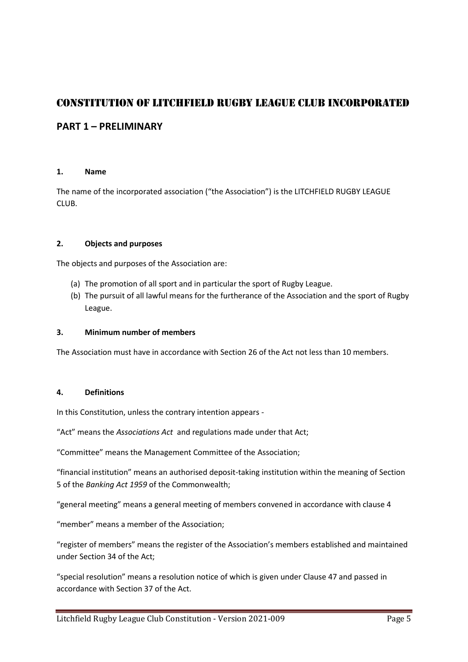# CONSTITUTION OF LITCHFIELD RUGBY LEAGUE CLUB INCORPORATED

# **PART 1 – PRELIMINARY**

### **1. Name**

The name of the incorporated association ("the Association") is the LITCHFIELD RUGBY LEAGUE CLUB.

### **2. Objects and purposes**

The objects and purposes of the Association are:

- (a) The promotion of all sport and in particular the sport of Rugby League.
- (b) The pursuit of all lawful means for the furtherance of the Association and the sport of Rugby League.

### **3. Minimum number of members**

The Association must have in accordance with Section 26 of the Act not less than 10 members.

### **4. Definitions**

In this Constitution, unless the contrary intention appears -

"Act" means the *Associations Act* and regulations made under that Act;

"Committee" means the Management Committee of the Association;

"financial institution" means an authorised deposit-taking institution within the meaning of Section 5 of the *Banking Act 1959* of the Commonwealth;

"general meeting" means a general meeting of members convened in accordance with clause 4

"member" means a member of the Association;

"register of members" means the register of the Association's members established and maintained under Section 34 of the Act;

"special resolution" means a resolution notice of which is given under Clause 47 and passed in accordance with Section 37 of the Act.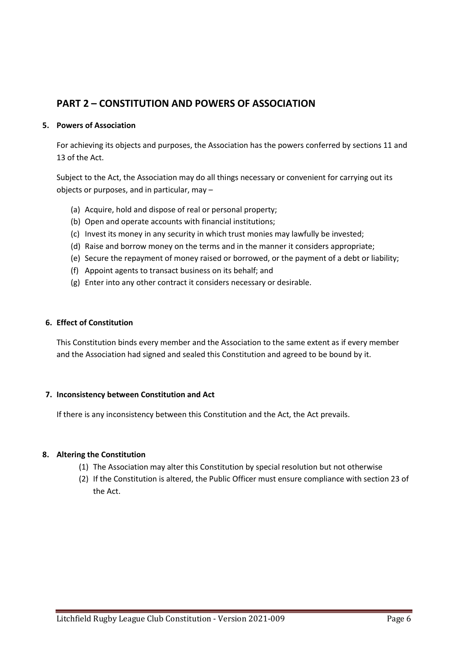# **PART 2 – CONSTITUTION AND POWERS OF ASSOCIATION**

### **5. Powers of Association**

For achieving its objects and purposes, the Association has the powers conferred by sections 11 and 13 of the Act.

Subject to the Act, the Association may do all things necessary or convenient for carrying out its objects or purposes, and in particular, may –

- (a) Acquire, hold and dispose of real or personal property;
- (b) Open and operate accounts with financial institutions;
- (c) Invest its money in any security in which trust monies may lawfully be invested;
- (d) Raise and borrow money on the terms and in the manner it considers appropriate;
- (e) Secure the repayment of money raised or borrowed, or the payment of a debt or liability;
- (f) Appoint agents to transact business on its behalf; and
- (g) Enter into any other contract it considers necessary or desirable.

#### **6. Effect of Constitution**

This Constitution binds every member and the Association to the same extent as if every member and the Association had signed and sealed this Constitution and agreed to be bound by it.

#### **7. Inconsistency between Constitution and Act**

If there is any inconsistency between this Constitution and the Act, the Act prevails.

#### **8. Altering the Constitution**

- (1) The Association may alter this Constitution by special resolution but not otherwise
- (2) If the Constitution is altered, the Public Officer must ensure compliance with section 23 of the Act.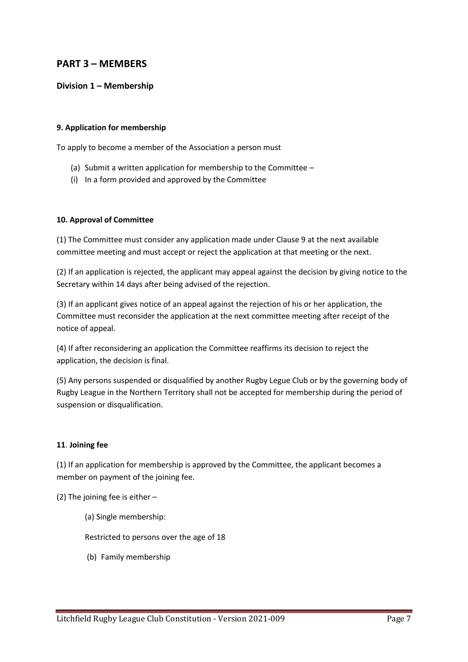# **PART 3 – MEMBERS**

### **Division 1 – Membership**

### **9. Application for membership**

To apply to become a member of the Association a person must

- (a) Submit a written application for membership to the Committee –
- (i) In a form provided and approved by the Committee

### **10. Approval of Committee**

(1) The Committee must consider any application made under Clause 9 at the next available committee meeting and must accept or reject the application at that meeting or the next.

(2) If an application is rejected, the applicant may appeal against the decision by giving notice to the Secretary within 14 days after being advised of the rejection.

(3) If an applicant gives notice of an appeal against the rejection of his or her application, the Committee must reconsider the application at the next committee meeting after receipt of the notice of appeal.

(4) If after reconsidering an application the Committee reaffirms its decision to reject the application, the decision is final.

(5) Any persons suspended or disqualified by another Rugby Legue Club or by the governing body of Rugby League in the Northern Territory shall not be accepted for membership during the period of suspension or disqualification.

### **11**. **Joining fee**

(1) If an application for membership is approved by the Committee, the applicant becomes a member on payment of the joining fee.

(2) The joining fee is either –

(a) Single membership:

Restricted to persons over the age of 18

(b) Family membership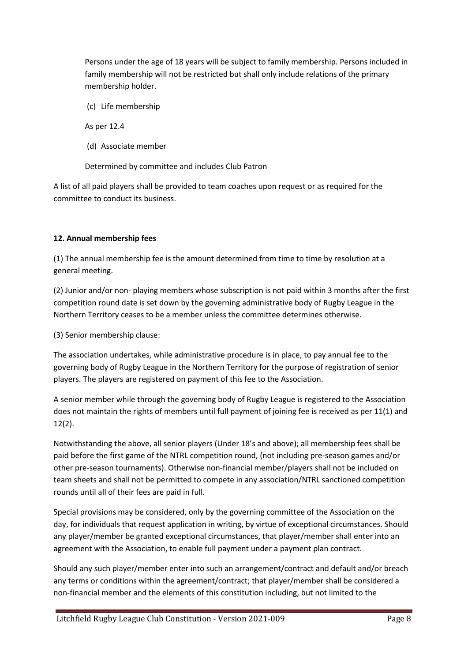Persons under the age of 18 years will be subject to family membership. Persons included in family membership will not be restricted but shall only include relations of the primary membership holder.

(c) Life membership

As per 12.4

(d) Associate member

Determined by committee and includes Club Patron

A list of all paid players shall be provided to team coaches upon request or as required for the committee to conduct its business.

### **12. Annual membership fees**

(1) The annual membership fee is the amount determined from time to time by resolution at a general meeting.

(2) Junior and/or non- playing members whose subscription is not paid within 3 months after the first competition round date is set down by the governing administrative body of Rugby League in the Northern Territory ceases to be a member unless the committee determines otherwise.

(3) Senior membership clause:

The association undertakes, while administrative procedure is in place, to pay annual fee to the governing body of Rugby League in the Northern Territory for the purpose of registration of senior players. The players are registered on payment of this fee to the Association.

A senior member while through the governing body of Rugby League is registered to the Association does not maintain the rights of members until full payment of joining fee is received as per 11(1) and 12(2).

Notwithstanding the above, all senior players (Under 18's and above); all membership fees shall be paid before the first game of the NTRL competition round, (not including pre-season games and/or other pre-season tournaments). Otherwise non-financial member/players shall not be included on team sheets and shall not be permitted to compete in any association/NTRL sanctioned competition rounds until all of their fees are paid in full.

Special provisions may be considered, only by the governing committee of the Association on the day, for individuals that request application in writing, by virtue of exceptional circumstances. Should any player/member be granted exceptional circumstances, that player/member shall enter into an agreement with the Association, to enable full payment under a payment plan contract.

Should any such player/member enter into such an arrangement/contract and default and/or breach any terms or conditions within the agreement/contract; that player/member shall be considered a non-financial member and the elements of this constitution including, but not limited to the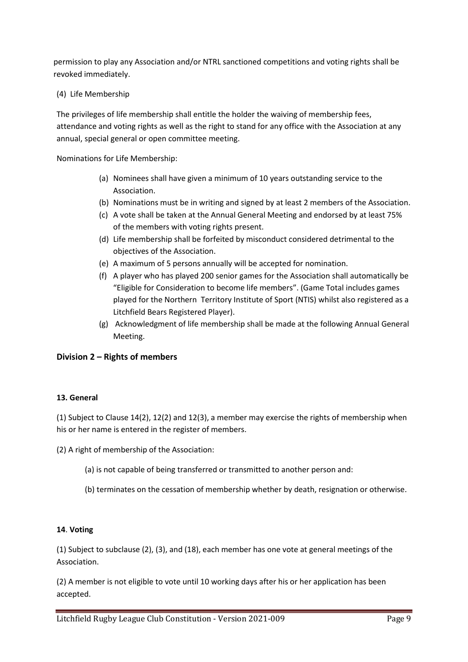permission to play any Association and/or NTRL sanctioned competitions and voting rights shall be revoked immediately.

### (4) Life Membership

The privileges of life membership shall entitle the holder the waiving of membership fees, attendance and voting rights as well as the right to stand for any office with the Association at any annual, special general or open committee meeting.

Nominations for Life Membership:

- (a) Nominees shall have given a minimum of 10 years outstanding service to the Association.
- (b) Nominations must be in writing and signed by at least 2 members of the Association.
- (c) A vote shall be taken at the Annual General Meeting and endorsed by at least 75% of the members with voting rights present.
- (d) Life membership shall be forfeited by misconduct considered detrimental to the objectives of the Association.
- (e) A maximum of 5 persons annually will be accepted for nomination.
- (f) A player who has played 200 senior games for the Association shall automatically be "Eligible for Consideration to become life members". (Game Total includes games played for the Northern Territory Institute of Sport (NTIS) whilst also registered as a Litchfield Bears Registered Player).
- (g) Acknowledgment of life membership shall be made at the following Annual General Meeting.

# **Division 2 – Rights of members**

### **13. General**

(1) Subject to Clause 14(2), 12(2) and 12(3), a member may exercise the rights of membership when his or her name is entered in the register of members.

(2) A right of membership of the Association:

- (a) is not capable of being transferred or transmitted to another person and:
- (b) terminates on the cessation of membership whether by death, resignation or otherwise.

### **14**. **Voting**

(1) Subject to subclause (2), (3), and (18), each member has one vote at general meetings of the Association.

(2) A member is not eligible to vote until 10 working days after his or her application has been accepted.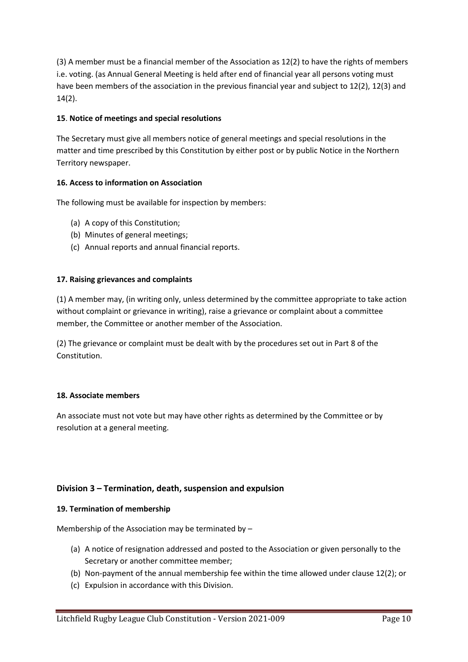(3) A member must be a financial member of the Association as 12(2) to have the rights of members i.e. voting. (as Annual General Meeting is held after end of financial year all persons voting must have been members of the association in the previous financial year and subject to 12(2), 12(3) and 14(2).

### **15**. **Notice of meetings and special resolutions**

The Secretary must give all members notice of general meetings and special resolutions in the matter and time prescribed by this Constitution by either post or by public Notice in the Northern Territory newspaper.

### **16. Access to information on Association**

The following must be available for inspection by members:

- (a) A copy of this Constitution;
- (b) Minutes of general meetings;
- (c) Annual reports and annual financial reports.

### **17. Raising grievances and complaints**

(1) A member may, (in writing only, unless determined by the committee appropriate to take action without complaint or grievance in writing), raise a grievance or complaint about a committee member, the Committee or another member of the Association.

(2) The grievance or complaint must be dealt with by the procedures set out in Part 8 of the Constitution.

### **18. Associate members**

An associate must not vote but may have other rights as determined by the Committee or by resolution at a general meeting.

# **Division 3 – Termination, death, suspension and expulsion**

### **19. Termination of membership**

Membership of the Association may be terminated by –

- (a) A notice of resignation addressed and posted to the Association or given personally to the Secretary or another committee member;
- (b) Non-payment of the annual membership fee within the time allowed under clause 12(2); or
- (c) Expulsion in accordance with this Division.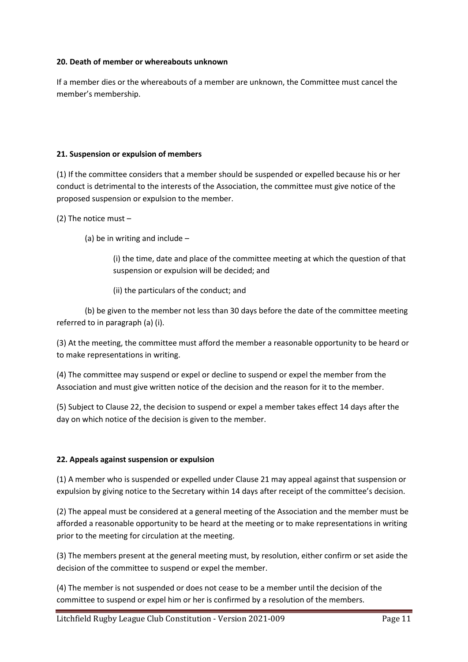### **20. Death of member or whereabouts unknown**

If a member dies or the whereabouts of a member are unknown, the Committee must cancel the member's membership.

### **21. Suspension or expulsion of members**

(1) If the committee considers that a member should be suspended or expelled because his or her conduct is detrimental to the interests of the Association, the committee must give notice of the proposed suspension or expulsion to the member.

(2) The notice must –

(a) be in writing and include –

(i) the time, date and place of the committee meeting at which the question of that suspension or expulsion will be decided; and

(ii) the particulars of the conduct; and

(b) be given to the member not less than 30 days before the date of the committee meeting referred to in paragraph (a) (i).

(3) At the meeting, the committee must afford the member a reasonable opportunity to be heard or to make representations in writing.

(4) The committee may suspend or expel or decline to suspend or expel the member from the Association and must give written notice of the decision and the reason for it to the member.

(5) Subject to Clause 22, the decision to suspend or expel a member takes effect 14 days after the day on which notice of the decision is given to the member.

### **22. Appeals against suspension or expulsion**

(1) A member who is suspended or expelled under Clause 21 may appeal against that suspension or expulsion by giving notice to the Secretary within 14 days after receipt of the committee's decision.

(2) The appeal must be considered at a general meeting of the Association and the member must be afforded a reasonable opportunity to be heard at the meeting or to make representations in writing prior to the meeting for circulation at the meeting.

(3) The members present at the general meeting must, by resolution, either confirm or set aside the decision of the committee to suspend or expel the member.

(4) The member is not suspended or does not cease to be a member until the decision of the committee to suspend or expel him or her is confirmed by a resolution of the members.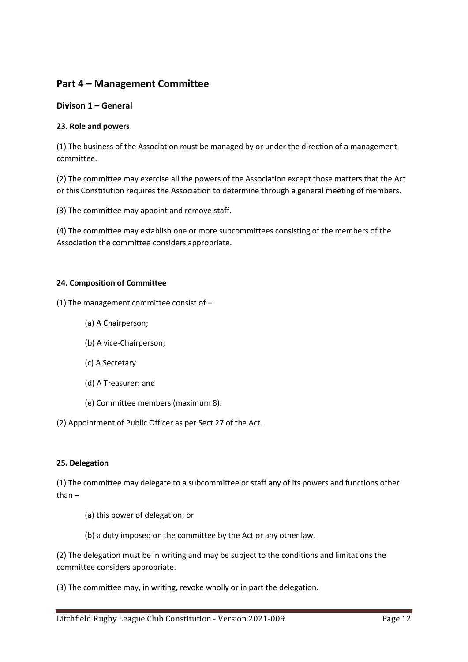# **Part 4 – Management Committee**

### **Divison 1 – General**

### **23. Role and powers**

(1) The business of the Association must be managed by or under the direction of a management committee.

(2) The committee may exercise all the powers of the Association except those matters that the Act or this Constitution requires the Association to determine through a general meeting of members.

(3) The committee may appoint and remove staff.

(4) The committee may establish one or more subcommittees consisting of the members of the Association the committee considers appropriate.

### **24. Composition of Committee**

(1) The management committee consist of –

- (a) A Chairperson;
- (b) A vice-Chairperson;
- (c) A Secretary
- (d) A Treasurer: and
- (e) Committee members (maximum 8).

(2) Appointment of Public Officer as per Sect 27 of the Act.

### **25. Delegation**

(1) The committee may delegate to a subcommittee or staff any of its powers and functions other than –

- (a) this power of delegation; or
- (b) a duty imposed on the committee by the Act or any other law.

(2) The delegation must be in writing and may be subject to the conditions and limitations the committee considers appropriate.

(3) The committee may, in writing, revoke wholly or in part the delegation.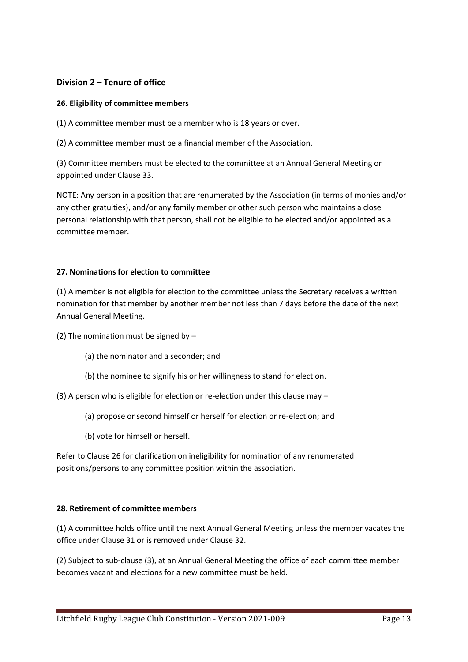### **Division 2 – Tenure of office**

### **26. Eligibility of committee members**

(1) A committee member must be a member who is 18 years or over.

(2) A committee member must be a financial member of the Association.

(3) Committee members must be elected to the committee at an Annual General Meeting or appointed under Clause 33.

NOTE: Any person in a position that are renumerated by the Association (in terms of monies and/or any other gratuities), and/or any family member or other such person who maintains a close personal relationship with that person, shall not be eligible to be elected and/or appointed as a committee member.

### **27. Nominations for election to committee**

(1) A member is not eligible for election to the committee unless the Secretary receives a written nomination for that member by another member not less than 7 days before the date of the next Annual General Meeting.

(2) The nomination must be signed by –

- (a) the nominator and a seconder; and
- (b) the nominee to signify his or her willingness to stand for election.

(3) A person who is eligible for election or re-election under this clause may –

- (a) propose or second himself or herself for election or re-election; and
- (b) vote for himself or herself.

Refer to Clause 26 for clarification on ineligibility for nomination of any renumerated positions/persons to any committee position within the association.

#### **28. Retirement of committee members**

(1) A committee holds office until the next Annual General Meeting unless the member vacates the office under Clause 31 or is removed under Clause 32.

(2) Subject to sub-clause (3), at an Annual General Meeting the office of each committee member becomes vacant and elections for a new committee must be held.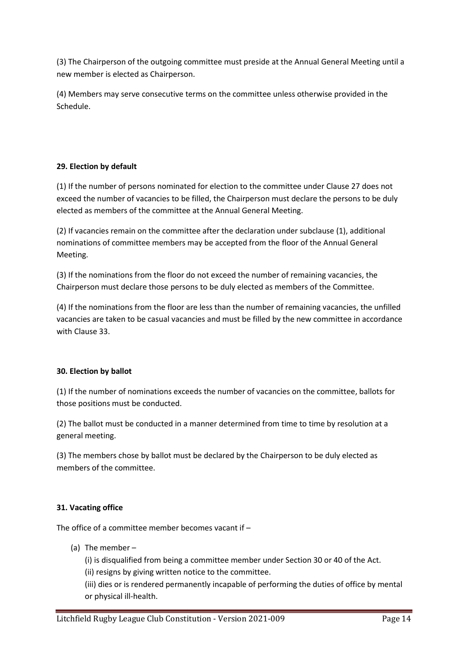(3) The Chairperson of the outgoing committee must preside at the Annual General Meeting until a new member is elected as Chairperson.

(4) Members may serve consecutive terms on the committee unless otherwise provided in the Schedule.

# **29. Election by default**

(1) If the number of persons nominated for election to the committee under Clause 27 does not exceed the number of vacancies to be filled, the Chairperson must declare the persons to be duly elected as members of the committee at the Annual General Meeting.

(2) If vacancies remain on the committee after the declaration under subclause (1), additional nominations of committee members may be accepted from the floor of the Annual General Meeting.

(3) If the nominations from the floor do not exceed the number of remaining vacancies, the Chairperson must declare those persons to be duly elected as members of the Committee.

(4) If the nominations from the floor are less than the number of remaining vacancies, the unfilled vacancies are taken to be casual vacancies and must be filled by the new committee in accordance with Clause 33.

### **30. Election by ballot**

(1) If the number of nominations exceeds the number of vacancies on the committee, ballots for those positions must be conducted.

(2) The ballot must be conducted in a manner determined from time to time by resolution at a general meeting.

(3) The members chose by ballot must be declared by the Chairperson to be duly elected as members of the committee.

# **31. Vacating office**

The office of a committee member becomes vacant if –

(a) The member –

(i) is disqualified from being a committee member under Section 30 or 40 of the Act.

(ii) resigns by giving written notice to the committee.

(iii) dies or is rendered permanently incapable of performing the duties of office by mental or physical ill-health.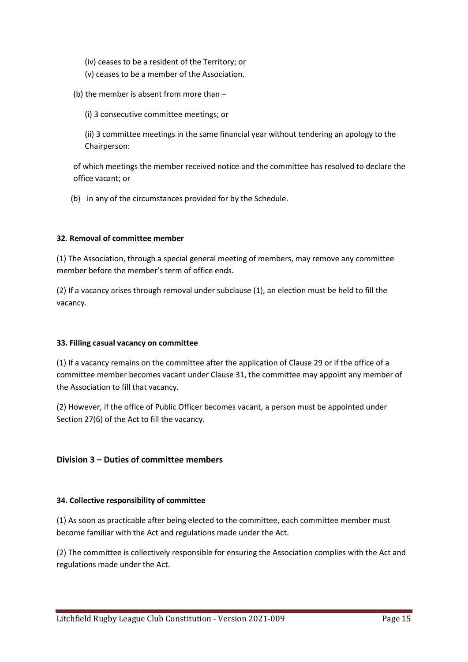- (iv) ceases to be a resident of the Territory; or
- (v) ceases to be a member of the Association.
- (b) the member is absent from more than
	- (i) 3 consecutive committee meetings; or

(ii) 3 committee meetings in the same financial year without tendering an apology to the Chairperson:

of which meetings the member received notice and the committee has resolved to declare the office vacant; or

(b) in any of the circumstances provided for by the Schedule.

### **32. Removal of committee member**

(1) The Association, through a special general meeting of members, may remove any committee member before the member's term of office ends.

(2) If a vacancy arises through removal under subclause (1), an election must be held to fill the vacancy.

### **33. Filling casual vacancy on committee**

(1) If a vacancy remains on the committee after the application of Clause 29 or if the office of a committee member becomes vacant under Clause 31, the committee may appoint any member of the Association to fill that vacancy.

(2) However, if the office of Public Officer becomes vacant, a person must be appointed under Section 27(6) of the Act to fill the vacancy.

# **Division 3 – Duties of committee members**

### **34. Collective responsibility of committee**

(1) As soon as practicable after being elected to the committee, each committee member must become familiar with the Act and regulations made under the Act.

(2) The committee is collectively responsible for ensuring the Association complies with the Act and regulations made under the Act.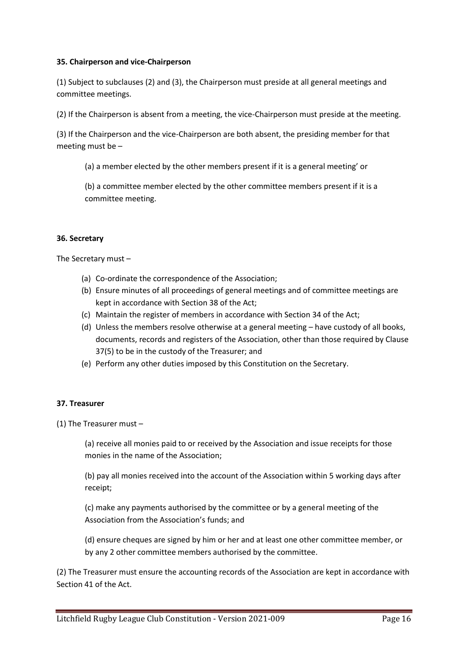### **35. Chairperson and vice-Chairperson**

(1) Subject to subclauses (2) and (3), the Chairperson must preside at all general meetings and committee meetings.

(2) If the Chairperson is absent from a meeting, the vice-Chairperson must preside at the meeting.

(3) If the Chairperson and the vice-Chairperson are both absent, the presiding member for that meeting must be –

(a) a member elected by the other members present if it is a general meeting' or

(b) a committee member elected by the other committee members present if it is a committee meeting.

### **36. Secretary**

The Secretary must –

- (a) Co-ordinate the correspondence of the Association;
- (b) Ensure minutes of all proceedings of general meetings and of committee meetings are kept in accordance with Section 38 of the Act;
- (c) Maintain the register of members in accordance with Section 34 of the Act;
- (d) Unless the members resolve otherwise at a general meeting have custody of all books, documents, records and registers of the Association, other than those required by Clause 37(5) to be in the custody of the Treasurer; and
- (e) Perform any other duties imposed by this Constitution on the Secretary.

#### **37. Treasurer**

(1) The Treasurer must –

(a) receive all monies paid to or received by the Association and issue receipts for those monies in the name of the Association;

(b) pay all monies received into the account of the Association within 5 working days after receipt;

(c) make any payments authorised by the committee or by a general meeting of the Association from the Association's funds; and

(d) ensure cheques are signed by him or her and at least one other committee member, or by any 2 other committee members authorised by the committee.

(2) The Treasurer must ensure the accounting records of the Association are kept in accordance with Section 41 of the Act.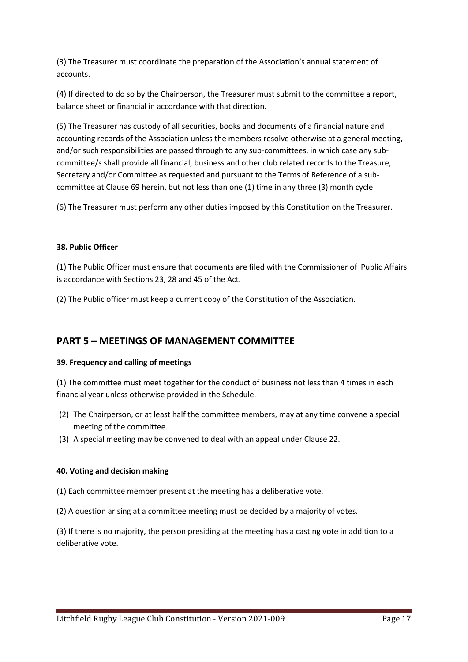(3) The Treasurer must coordinate the preparation of the Association's annual statement of accounts.

(4) If directed to do so by the Chairperson, the Treasurer must submit to the committee a report, balance sheet or financial in accordance with that direction.

(5) The Treasurer has custody of all securities, books and documents of a financial nature and accounting records of the Association unless the members resolve otherwise at a general meeting, and/or such responsibilities are passed through to any sub-committees, in which case any subcommittee/s shall provide all financial, business and other club related records to the Treasure, Secretary and/or Committee as requested and pursuant to the Terms of Reference of a subcommittee at Clause 69 herein, but not less than one (1) time in any three (3) month cycle.

(6) The Treasurer must perform any other duties imposed by this Constitution on the Treasurer.

### **38. Public Officer**

(1) The Public Officer must ensure that documents are filed with the Commissioner of Public Affairs is accordance with Sections 23, 28 and 45 of the Act.

(2) The Public officer must keep a current copy of the Constitution of the Association.

# **PART 5 – MEETINGS OF MANAGEMENT COMMITTEE**

### **39. Frequency and calling of meetings**

(1) The committee must meet together for the conduct of business not less than 4 times in each financial year unless otherwise provided in the Schedule.

- (2) The Chairperson, or at least half the committee members, may at any time convene a special meeting of the committee.
- (3) A special meeting may be convened to deal with an appeal under Clause 22.

### **40. Voting and decision making**

(1) Each committee member present at the meeting has a deliberative vote.

(2) A question arising at a committee meeting must be decided by a majority of votes.

(3) If there is no majority, the person presiding at the meeting has a casting vote in addition to a deliberative vote.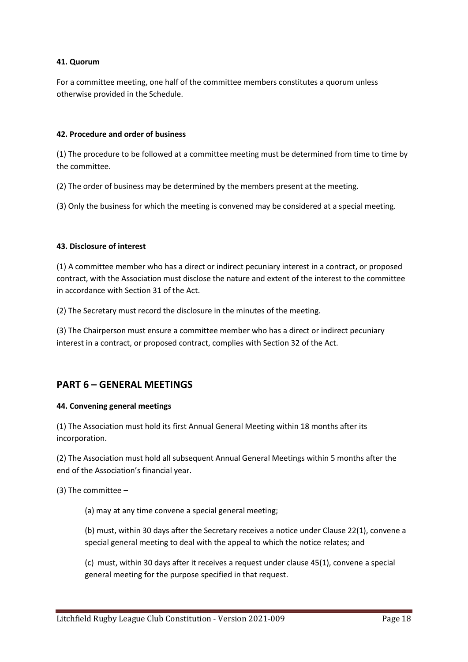### **41. Quorum**

For a committee meeting, one half of the committee members constitutes a quorum unless otherwise provided in the Schedule.

### **42. Procedure and order of business**

(1) The procedure to be followed at a committee meeting must be determined from time to time by the committee.

(2) The order of business may be determined by the members present at the meeting.

(3) Only the business for which the meeting is convened may be considered at a special meeting.

### **43. Disclosure of interest**

(1) A committee member who has a direct or indirect pecuniary interest in a contract, or proposed contract, with the Association must disclose the nature and extent of the interest to the committee in accordance with Section 31 of the Act.

(2) The Secretary must record the disclosure in the minutes of the meeting.

(3) The Chairperson must ensure a committee member who has a direct or indirect pecuniary interest in a contract, or proposed contract, complies with Section 32 of the Act.

# **PART 6 – GENERAL MEETINGS**

#### **44. Convening general meetings**

(1) The Association must hold its first Annual General Meeting within 18 months after its incorporation.

(2) The Association must hold all subsequent Annual General Meetings within 5 months after the end of the Association's financial year.

(3) The committee –

(a) may at any time convene a special general meeting;

(b) must, within 30 days after the Secretary receives a notice under Clause 22(1), convene a special general meeting to deal with the appeal to which the notice relates; and

(c) must, within 30 days after it receives a request under clause 45(1), convene a special general meeting for the purpose specified in that request.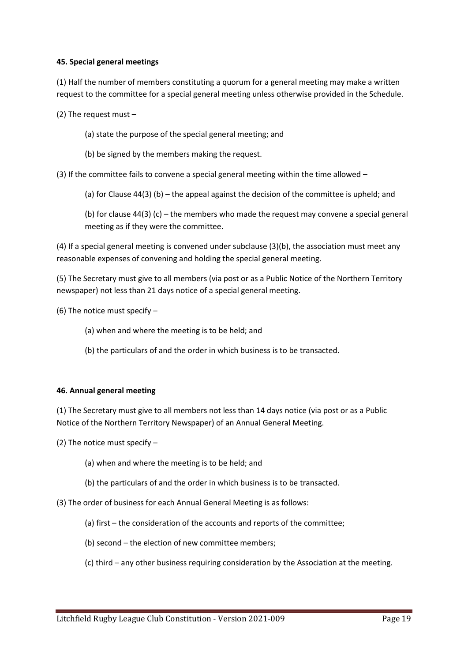### **45. Special general meetings**

(1) Half the number of members constituting a quorum for a general meeting may make a written request to the committee for a special general meeting unless otherwise provided in the Schedule.

(2) The request must –

- (a) state the purpose of the special general meeting; and
- (b) be signed by the members making the request.

(3) If the committee fails to convene a special general meeting within the time allowed  $-$ 

(a) for Clause  $44(3)$  (b) – the appeal against the decision of the committee is upheld; and

(b) for clause  $44(3)$  (c) – the members who made the request may convene a special general meeting as if they were the committee.

(4) If a special general meeting is convened under subclause (3)(b), the association must meet any reasonable expenses of convening and holding the special general meeting.

(5) The Secretary must give to all members (via post or as a Public Notice of the Northern Territory newspaper) not less than 21 days notice of a special general meeting.

(6) The notice must specify –

- (a) when and where the meeting is to be held; and
- (b) the particulars of and the order in which business is to be transacted.

#### **46. Annual general meeting**

(1) The Secretary must give to all members not less than 14 days notice (via post or as a Public Notice of the Northern Territory Newspaper) of an Annual General Meeting.

(2) The notice must specify –

- (a) when and where the meeting is to be held; and
- (b) the particulars of and the order in which business is to be transacted.

(3) The order of business for each Annual General Meeting is as follows:

- (a) first the consideration of the accounts and reports of the committee;
- (b) second the election of new committee members;

(c) third – any other business requiring consideration by the Association at the meeting.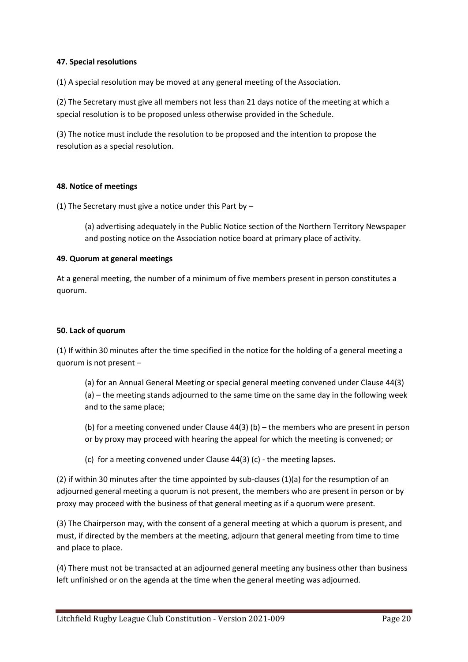### **47. Special resolutions**

(1) A special resolution may be moved at any general meeting of the Association.

(2) The Secretary must give all members not less than 21 days notice of the meeting at which a special resolution is to be proposed unless otherwise provided in the Schedule.

(3) The notice must include the resolution to be proposed and the intention to propose the resolution as a special resolution.

### **48. Notice of meetings**

(1) The Secretary must give a notice under this Part by –

(a) advertising adequately in the Public Notice section of the Northern Territory Newspaper and posting notice on the Association notice board at primary place of activity.

### **49. Quorum at general meetings**

At a general meeting, the number of a minimum of five members present in person constitutes a quorum.

### **50. Lack of quorum**

(1) If within 30 minutes after the time specified in the notice for the holding of a general meeting a quorum is not present –

(a) for an Annual General Meeting or special general meeting convened under Clause 44(3) (a) – the meeting stands adjourned to the same time on the same day in the following week and to the same place;

(b) for a meeting convened under Clause 44(3) (b) – the members who are present in person or by proxy may proceed with hearing the appeal for which the meeting is convened; or

(c) for a meeting convened under Clause 44(3) (c) - the meeting lapses.

(2) if within 30 minutes after the time appointed by sub-clauses (1)(a) for the resumption of an adjourned general meeting a quorum is not present, the members who are present in person or by proxy may proceed with the business of that general meeting as if a quorum were present.

(3) The Chairperson may, with the consent of a general meeting at which a quorum is present, and must, if directed by the members at the meeting, adjourn that general meeting from time to time and place to place.

(4) There must not be transacted at an adjourned general meeting any business other than business left unfinished or on the agenda at the time when the general meeting was adjourned.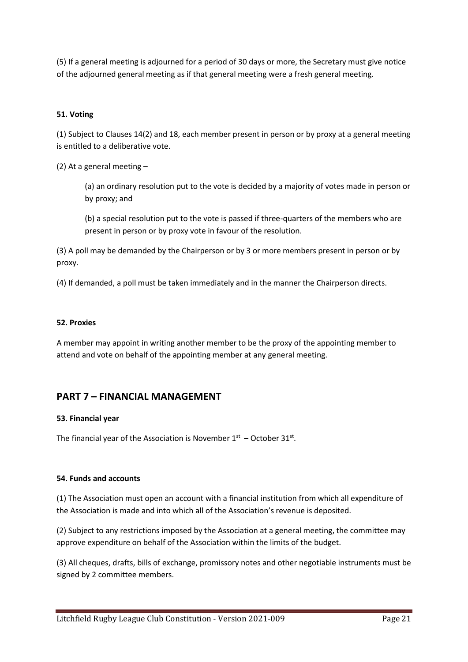(5) If a general meeting is adjourned for a period of 30 days or more, the Secretary must give notice of the adjourned general meeting as if that general meeting were a fresh general meeting.

### **51. Voting**

(1) Subject to Clauses 14(2) and 18, each member present in person or by proxy at a general meeting is entitled to a deliberative vote.

(2) At a general meeting –

(a) an ordinary resolution put to the vote is decided by a majority of votes made in person or by proxy; and

(b) a special resolution put to the vote is passed if three-quarters of the members who are present in person or by proxy vote in favour of the resolution.

(3) A poll may be demanded by the Chairperson or by 3 or more members present in person or by proxy.

(4) If demanded, a poll must be taken immediately and in the manner the Chairperson directs.

#### **52. Proxies**

A member may appoint in writing another member to be the proxy of the appointing member to attend and vote on behalf of the appointing member at any general meeting.

# **PART 7 – FINANCIAL MANAGEMENT**

#### **53. Financial year**

The financial year of the Association is November  $1<sup>st</sup>$  – October 31 $<sup>st</sup>$ .</sup>

#### **54. Funds and accounts**

(1) The Association must open an account with a financial institution from which all expenditure of the Association is made and into which all of the Association's revenue is deposited.

(2) Subject to any restrictions imposed by the Association at a general meeting, the committee may approve expenditure on behalf of the Association within the limits of the budget.

(3) All cheques, drafts, bills of exchange, promissory notes and other negotiable instruments must be signed by 2 committee members.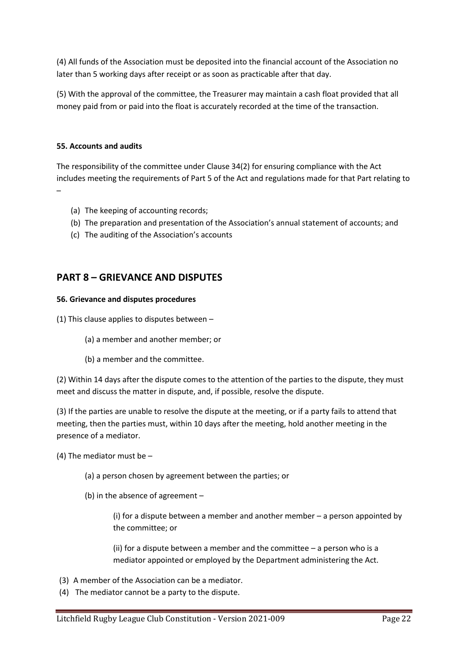(4) All funds of the Association must be deposited into the financial account of the Association no later than 5 working days after receipt or as soon as practicable after that day.

(5) With the approval of the committee, the Treasurer may maintain a cash float provided that all money paid from or paid into the float is accurately recorded at the time of the transaction.

### **55. Accounts and audits**

The responsibility of the committee under Clause 34(2) for ensuring compliance with the Act includes meeting the requirements of Part 5 of the Act and regulations made for that Part relating to –

- (a) The keeping of accounting records;
- (b) The preparation and presentation of the Association's annual statement of accounts; and
- (c) The auditing of the Association's accounts

# **PART 8 – GRIEVANCE AND DISPUTES**

#### **56. Grievance and disputes procedures**

(1) This clause applies to disputes between –

- (a) a member and another member; or
- (b) a member and the committee.

(2) Within 14 days after the dispute comes to the attention of the parties to the dispute, they must meet and discuss the matter in dispute, and, if possible, resolve the dispute.

(3) If the parties are unable to resolve the dispute at the meeting, or if a party fails to attend that meeting, then the parties must, within 10 days after the meeting, hold another meeting in the presence of a mediator.

(4) The mediator must be –

- (a) a person chosen by agreement between the parties; or
- (b) in the absence of agreement –

(i) for a dispute between a member and another member – a person appointed by the committee; or

(ii) for a dispute between a member and the committee  $-$  a person who is a mediator appointed or employed by the Department administering the Act.

- (3) A member of the Association can be a mediator.
- (4) The mediator cannot be a party to the dispute.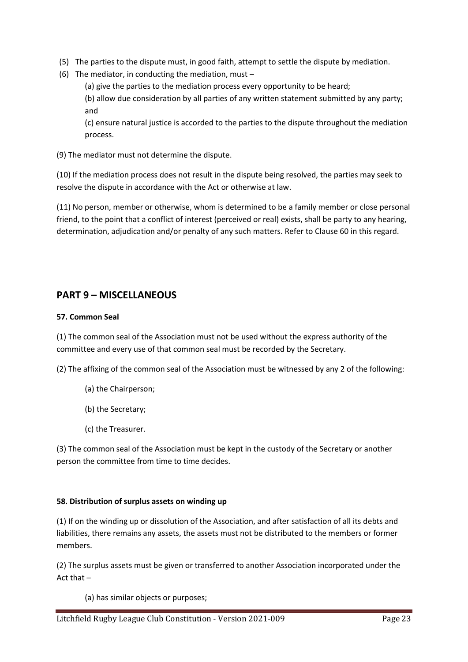- (5) The parties to the dispute must, in good faith, attempt to settle the dispute by mediation.
- (6) The mediator, in conducting the mediation, must –

(a) give the parties to the mediation process every opportunity to be heard;

(b) allow due consideration by all parties of any written statement submitted by any party; and

(c) ensure natural justice is accorded to the parties to the dispute throughout the mediation process.

(9) The mediator must not determine the dispute.

(10) If the mediation process does not result in the dispute being resolved, the parties may seek to resolve the dispute in accordance with the Act or otherwise at law.

(11) No person, member or otherwise, whom is determined to be a family member or close personal friend, to the point that a conflict of interest (perceived or real) exists, shall be party to any hearing, determination, adjudication and/or penalty of any such matters. Refer to Clause 60 in this regard.

# **PART 9 – MISCELLANEOUS**

### **57. Common Seal**

(1) The common seal of the Association must not be used without the express authority of the committee and every use of that common seal must be recorded by the Secretary.

(2) The affixing of the common seal of the Association must be witnessed by any 2 of the following:

- (a) the Chairperson;
- (b) the Secretary;
- (c) the Treasurer.

(3) The common seal of the Association must be kept in the custody of the Secretary or another person the committee from time to time decides.

### **58. Distribution of surplus assets on winding up**

(1) If on the winding up or dissolution of the Association, and after satisfaction of all its debts and liabilities, there remains any assets, the assets must not be distributed to the members or former members.

(2) The surplus assets must be given or transferred to another Association incorporated under the Act that –

(a) has similar objects or purposes;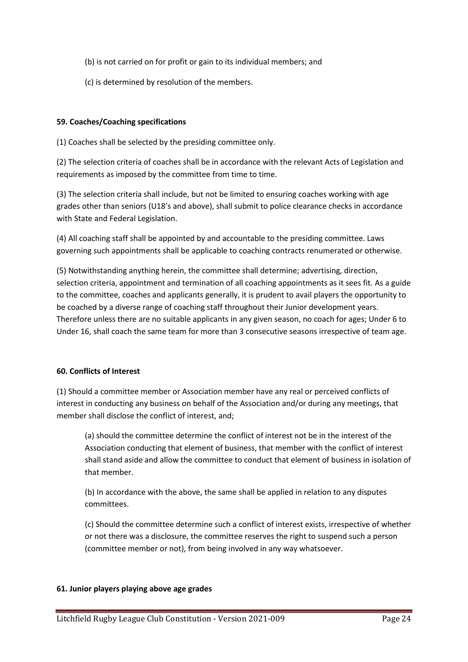(b) is not carried on for profit or gain to its individual members; and

(c) is determined by resolution of the members.

### **59. Coaches/Coaching specifications**

(1) Coaches shall be selected by the presiding committee only.

(2) The selection criteria of coaches shall be in accordance with the relevant Acts of Legislation and requirements as imposed by the committee from time to time.

(3) The selection criteria shall include, but not be limited to ensuring coaches working with age grades other than seniors (U18's and above), shall submit to police clearance checks in accordance with State and Federal Legislation.

(4) All coaching staff shall be appointed by and accountable to the presiding committee. Laws governing such appointments shall be applicable to coaching contracts renumerated or otherwise.

(5) Notwithstanding anything herein, the committee shall determine; advertising, direction, selection criteria, appointment and termination of all coaching appointments as it sees fit. As a guide to the committee, coaches and applicants generally, it is prudent to avail players the opportunity to be coached by a diverse range of coaching staff throughout their Junior development years. Therefore unless there are no suitable applicants in any given season, no coach for ages; Under 6 to Under 16, shall coach the same team for more than 3 consecutive seasons irrespective of team age.

### **60. Conflicts of Interest**

(1) Should a committee member or Association member have any real or perceived conflicts of interest in conducting any business on behalf of the Association and/or during any meetings, that member shall disclose the conflict of interest, and;

(a) should the committee determine the conflict of interest not be in the interest of the Association conducting that element of business, that member with the conflict of interest shall stand aside and allow the committee to conduct that element of business in isolation of that member.

(b) In accordance with the above, the same shall be applied in relation to any disputes committees.

(c) Should the committee determine such a conflict of interest exists, irrespective of whether or not there was a disclosure, the committee reserves the right to suspend such a person (committee member or not), from being involved in any way whatsoever.

### **61. Junior players playing above age grades**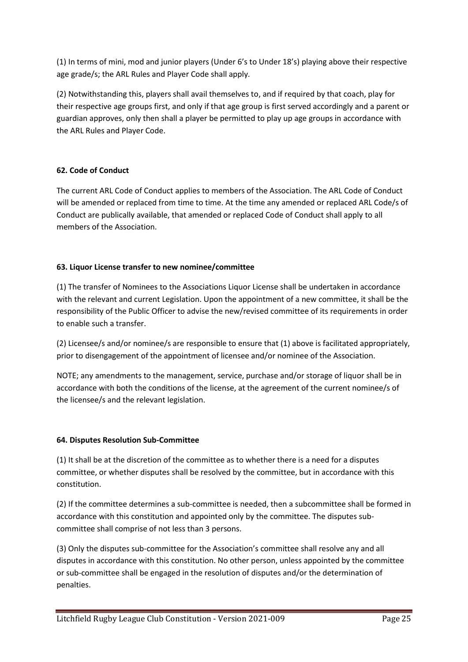(1) In terms of mini, mod and junior players (Under 6's to Under 18's) playing above their respective age grade/s; the ARL Rules and Player Code shall apply.

(2) Notwithstanding this, players shall avail themselves to, and if required by that coach, play for their respective age groups first, and only if that age group is first served accordingly and a parent or guardian approves, only then shall a player be permitted to play up age groups in accordance with the ARL Rules and Player Code.

# **62. Code of Conduct**

The current ARL Code of Conduct applies to members of the Association. The ARL Code of Conduct will be amended or replaced from time to time. At the time any amended or replaced ARL Code/s of Conduct are publically available, that amended or replaced Code of Conduct shall apply to all members of the Association.

### **63. Liquor License transfer to new nominee/committee**

(1) The transfer of Nominees to the Associations Liquor License shall be undertaken in accordance with the relevant and current Legislation. Upon the appointment of a new committee, it shall be the responsibility of the Public Officer to advise the new/revised committee of its requirements in order to enable such a transfer.

(2) Licensee/s and/or nominee/s are responsible to ensure that (1) above is facilitated appropriately, prior to disengagement of the appointment of licensee and/or nominee of the Association.

NOTE; any amendments to the management, service, purchase and/or storage of liquor shall be in accordance with both the conditions of the license, at the agreement of the current nominee/s of the licensee/s and the relevant legislation.

### **64. Disputes Resolution Sub-Committee**

(1) It shall be at the discretion of the committee as to whether there is a need for a disputes committee, or whether disputes shall be resolved by the committee, but in accordance with this constitution.

(2) If the committee determines a sub-committee is needed, then a subcommittee shall be formed in accordance with this constitution and appointed only by the committee. The disputes subcommittee shall comprise of not less than 3 persons.

(3) Only the disputes sub-committee for the Association's committee shall resolve any and all disputes in accordance with this constitution. No other person, unless appointed by the committee or sub-committee shall be engaged in the resolution of disputes and/or the determination of penalties.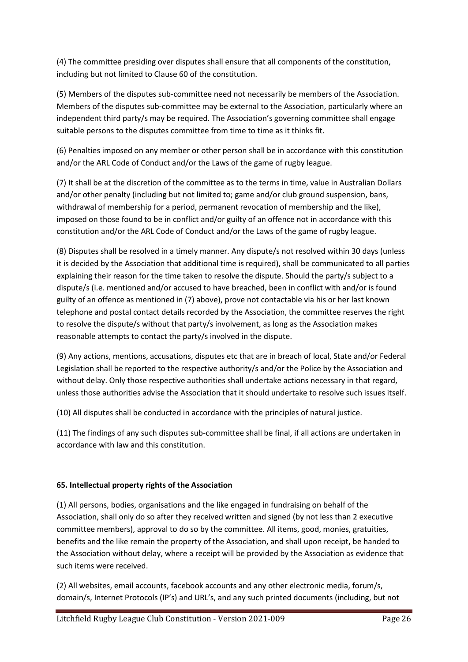(4) The committee presiding over disputes shall ensure that all components of the constitution, including but not limited to Clause 60 of the constitution.

(5) Members of the disputes sub-committee need not necessarily be members of the Association. Members of the disputes sub-committee may be external to the Association, particularly where an independent third party/s may be required. The Association's governing committee shall engage suitable persons to the disputes committee from time to time as it thinks fit.

(6) Penalties imposed on any member or other person shall be in accordance with this constitution and/or the ARL Code of Conduct and/or the Laws of the game of rugby league.

(7) It shall be at the discretion of the committee as to the terms in time, value in Australian Dollars and/or other penalty (including but not limited to; game and/or club ground suspension, bans, withdrawal of membership for a period, permanent revocation of membership and the like), imposed on those found to be in conflict and/or guilty of an offence not in accordance with this constitution and/or the ARL Code of Conduct and/or the Laws of the game of rugby league.

(8) Disputes shall be resolved in a timely manner. Any dispute/s not resolved within 30 days (unless it is decided by the Association that additional time is required), shall be communicated to all parties explaining their reason for the time taken to resolve the dispute. Should the party/s subject to a dispute/s (i.e. mentioned and/or accused to have breached, been in conflict with and/or is found guilty of an offence as mentioned in (7) above), prove not contactable via his or her last known telephone and postal contact details recorded by the Association, the committee reserves the right to resolve the dispute/s without that party/s involvement, as long as the Association makes reasonable attempts to contact the party/s involved in the dispute.

(9) Any actions, mentions, accusations, disputes etc that are in breach of local, State and/or Federal Legislation shall be reported to the respective authority/s and/or the Police by the Association and without delay. Only those respective authorities shall undertake actions necessary in that regard, unless those authorities advise the Association that it should undertake to resolve such issues itself.

(10) All disputes shall be conducted in accordance with the principles of natural justice.

(11) The findings of any such disputes sub-committee shall be final, if all actions are undertaken in accordance with law and this constitution.

# **65. Intellectual property rights of the Association**

(1) All persons, bodies, organisations and the like engaged in fundraising on behalf of the Association, shall only do so after they received written and signed (by not less than 2 executive committee members), approval to do so by the committee. All items, good, monies, gratuities, benefits and the like remain the property of the Association, and shall upon receipt, be handed to the Association without delay, where a receipt will be provided by the Association as evidence that such items were received.

(2) All websites, email accounts, facebook accounts and any other electronic media, forum/s, domain/s, Internet Protocols (IP's) and URL's, and any such printed documents (including, but not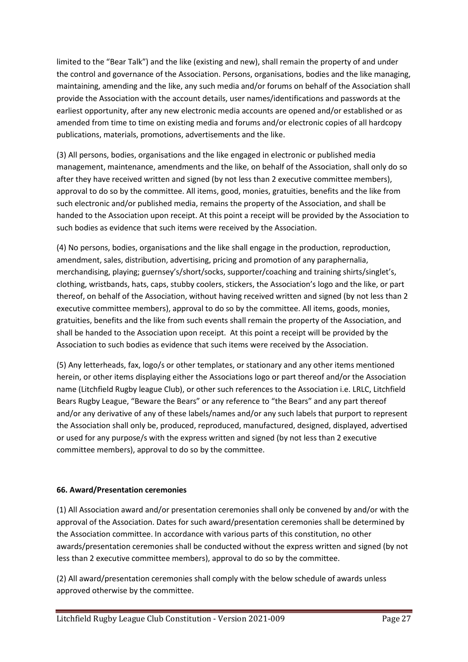limited to the "Bear Talk") and the like (existing and new), shall remain the property of and under the control and governance of the Association. Persons, organisations, bodies and the like managing, maintaining, amending and the like, any such media and/or forums on behalf of the Association shall provide the Association with the account details, user names/identifications and passwords at the earliest opportunity, after any new electronic media accounts are opened and/or established or as amended from time to time on existing media and forums and/or electronic copies of all hardcopy publications, materials, promotions, advertisements and the like.

(3) All persons, bodies, organisations and the like engaged in electronic or published media management, maintenance, amendments and the like, on behalf of the Association, shall only do so after they have received written and signed (by not less than 2 executive committee members), approval to do so by the committee. All items, good, monies, gratuities, benefits and the like from such electronic and/or published media, remains the property of the Association, and shall be handed to the Association upon receipt. At this point a receipt will be provided by the Association to such bodies as evidence that such items were received by the Association.

(4) No persons, bodies, organisations and the like shall engage in the production, reproduction, amendment, sales, distribution, advertising, pricing and promotion of any paraphernalia, merchandising, playing; guernsey's/short/socks, supporter/coaching and training shirts/singlet's, clothing, wristbands, hats, caps, stubby coolers, stickers, the Association's logo and the like, or part thereof, on behalf of the Association, without having received written and signed (by not less than 2 executive committee members), approval to do so by the committee. All items, goods, monies, gratuities, benefits and the like from such events shall remain the property of the Association, and shall be handed to the Association upon receipt. At this point a receipt will be provided by the Association to such bodies as evidence that such items were received by the Association.

(5) Any letterheads, fax, logo/s or other templates, or stationary and any other items mentioned herein, or other items displaying either the Associations logo or part thereof and/or the Association name (Litchfield Rugby league Club), or other such references to the Association i.e. LRLC, Litchfield Bears Rugby League, "Beware the Bears" or any reference to "the Bears" and any part thereof and/or any derivative of any of these labels/names and/or any such labels that purport to represent the Association shall only be, produced, reproduced, manufactured, designed, displayed, advertised or used for any purpose/s with the express written and signed (by not less than 2 executive committee members), approval to do so by the committee.

### **66. Award/Presentation ceremonies**

(1) All Association award and/or presentation ceremonies shall only be convened by and/or with the approval of the Association. Dates for such award/presentation ceremonies shall be determined by the Association committee. In accordance with various parts of this constitution, no other awards/presentation ceremonies shall be conducted without the express written and signed (by not less than 2 executive committee members), approval to do so by the committee.

(2) All award/presentation ceremonies shall comply with the below schedule of awards unless approved otherwise by the committee.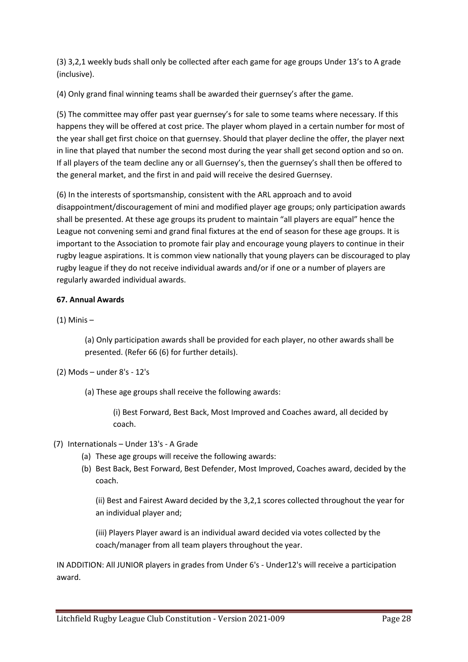(3) 3,2,1 weekly buds shall only be collected after each game for age groups Under 13's to A grade (inclusive).

(4) Only grand final winning teams shall be awarded their guernsey's after the game.

(5) The committee may offer past year guernsey's for sale to some teams where necessary. If this happens they will be offered at cost price. The player whom played in a certain number for most of the year shall get first choice on that guernsey. Should that player decline the offer, the player next in line that played that number the second most during the year shall get second option and so on. If all players of the team decline any or all Guernsey's, then the guernsey's shall then be offered to the general market, and the first in and paid will receive the desired Guernsey.

(6) In the interests of sportsmanship, consistent with the ARL approach and to avoid disappointment/discouragement of mini and modified player age groups; only participation awards shall be presented. At these age groups its prudent to maintain "all players are equal" hence the League not convening semi and grand final fixtures at the end of season for these age groups. It is important to the Association to promote fair play and encourage young players to continue in their rugby league aspirations. It is common view nationally that young players can be discouraged to play rugby league if they do not receive individual awards and/or if one or a number of players are regularly awarded individual awards.

### **67. Annual Awards**

(1) Minis –

(a) Only participation awards shall be provided for each player, no other awards shall be presented. (Refer 66 (6) for further details).

(2) Mods – under 8's - 12's

(a) These age groups shall receive the following awards:

(i) Best Forward, Best Back, Most Improved and Coaches award, all decided by coach.

- (7) Internationals Under 13's A Grade
	- (a) These age groups will receive the following awards:
	- (b) Best Back, Best Forward, Best Defender, Most Improved, Coaches award, decided by the coach.

(ii) Best and Fairest Award decided by the 3,2,1 scores collected throughout the year for an individual player and;

(iii) Players Player award is an individual award decided via votes collected by the coach/manager from all team players throughout the year.

IN ADDITION: All JUNIOR players in grades from Under 6's - Under12's will receive a participation award.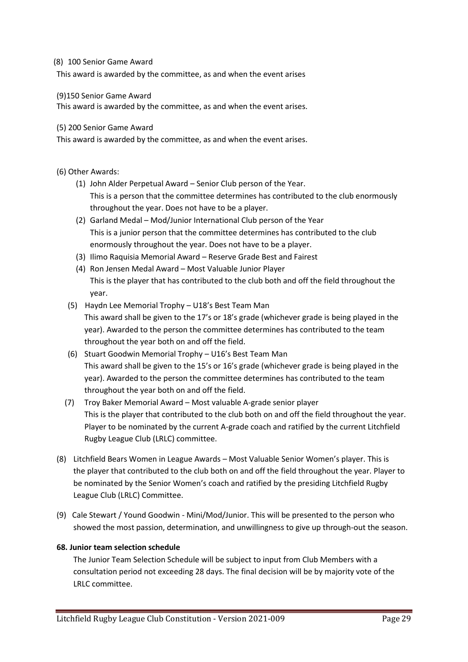### (8) 100 Senior Game Award

This award is awarded by the committee, as and when the event arises

### (9)150 Senior Game Award

This award is awarded by the committee, as and when the event arises.

### (5) 200 Senior Game Award

This award is awarded by the committee, as and when the event arises.

### (6) Other Awards:

- (1) John Alder Perpetual Award Senior Club person of the Year. This is a person that the committee determines has contributed to the club enormously throughout the year. Does not have to be a player.
- (2) Garland Medal Mod/Junior International Club person of the Year This is a junior person that the committee determines has contributed to the club enormously throughout the year. Does not have to be a player.
- (3) Ilimo Raquisia Memorial Award Reserve Grade Best and Fairest
- (4) Ron Jensen Medal Award Most Valuable Junior Player This is the player that has contributed to the club both and off the field throughout the year.
- (5) Haydn Lee Memorial Trophy U18's Best Team Man This award shall be given to the 17's or 18's grade (whichever grade is being played in the year). Awarded to the person the committee determines has contributed to the team throughout the year both on and off the field.
- (6) Stuart Goodwin Memorial Trophy U16's Best Team Man This award shall be given to the 15's or 16's grade (whichever grade is being played in the year). Awarded to the person the committee determines has contributed to the team throughout the year both on and off the field.
- (7) Troy Baker Memorial Award Most valuable A-grade senior player This is the player that contributed to the club both on and off the field throughout the year. Player to be nominated by the current A-grade coach and ratified by the current Litchfield Rugby League Club (LRLC) committee.
- (8) Litchfield Bears Women in League Awards Most Valuable Senior Women's player. This is the player that contributed to the club both on and off the field throughout the year. Player to be nominated by the Senior Women's coach and ratified by the presiding Litchfield Rugby League Club (LRLC) Committee.
- (9) Cale Stewart / Yound Goodwin Mini/Mod/Junior. This will be presented to the person who showed the most passion, determination, and unwillingness to give up through-out the season.

### **68. Junior team selection schedule**

The Junior Team Selection Schedule will be subject to input from Club Members with a consultation period not exceeding 28 days. The final decision will be by majority vote of the LRLC committee.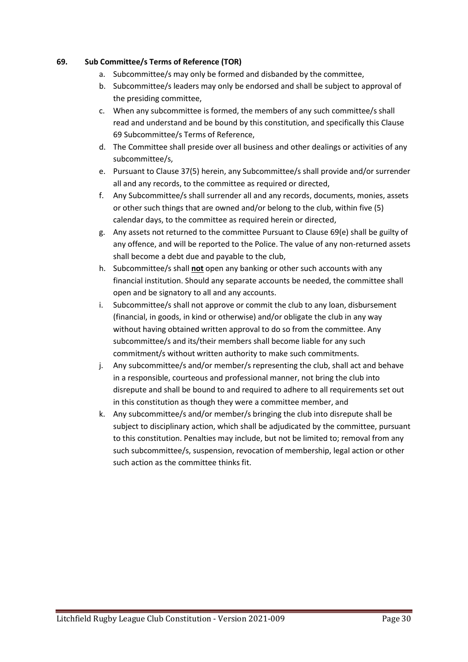### **69. Sub Committee/s Terms of Reference (TOR)**

- a. Subcommittee/s may only be formed and disbanded by the committee,
- b. Subcommittee/s leaders may only be endorsed and shall be subject to approval of the presiding committee,
- c. When any subcommittee is formed, the members of any such committee/s shall read and understand and be bound by this constitution, and specifically this Clause 69 Subcommittee/s Terms of Reference,
- d. The Committee shall preside over all business and other dealings or activities of any subcommittee/s,
- e. Pursuant to Clause 37(5) herein, any Subcommittee/s shall provide and/or surrender all and any records, to the committee as required or directed,
- f. Any Subcommittee/s shall surrender all and any records, documents, monies, assets or other such things that are owned and/or belong to the club, within five (5) calendar days, to the committee as required herein or directed,
- g. Any assets not returned to the committee Pursuant to Clause 69(e) shall be guilty of any offence, and will be reported to the Police. The value of any non-returned assets shall become a debt due and payable to the club,
- h. Subcommittee/s shall **not** open any banking or other such accounts with any financial institution. Should any separate accounts be needed, the committee shall open and be signatory to all and any accounts.
- i. Subcommittee/s shall not approve or commit the club to any loan, disbursement (financial, in goods, in kind or otherwise) and/or obligate the club in any way without having obtained written approval to do so from the committee. Any subcommittee/s and its/their members shall become liable for any such commitment/s without written authority to make such commitments.
- j. Any subcommittee/s and/or member/s representing the club, shall act and behave in a responsible, courteous and professional manner, not bring the club into disrepute and shall be bound to and required to adhere to all requirements set out in this constitution as though they were a committee member, and
- k. Any subcommittee/s and/or member/s bringing the club into disrepute shall be subject to disciplinary action, which shall be adjudicated by the committee, pursuant to this constitution. Penalties may include, but not be limited to; removal from any such subcommittee/s, suspension, revocation of membership, legal action or other such action as the committee thinks fit.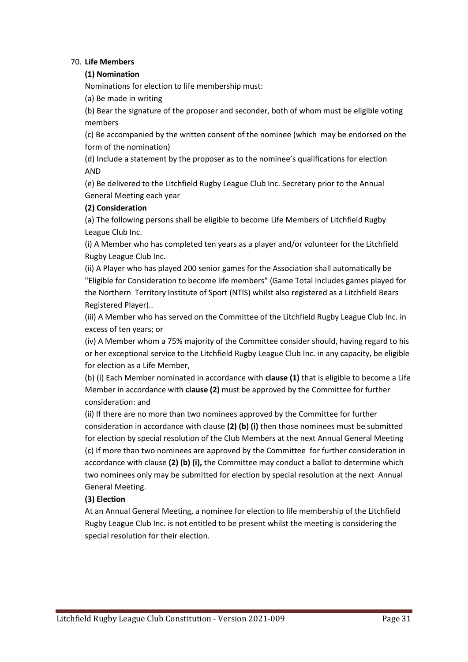### 70. **Life Members**

### **(1) Nomination**

Nominations for election to life membership must:

(a) Be made in writing

(b) Bear the signature of the proposer and seconder, both of whom must be eligible voting members

(c) Be accompanied by the written consent of the nominee (which may be endorsed on the form of the nomination)

(d) Include a statement by the proposer as to the nominee's qualifications for election AND

(e) Be delivered to the Litchfield Rugby League Club Inc. Secretary prior to the Annual General Meeting each year

### **(2) Consideration**

(a) The following persons shall be eligible to become Life Members of Litchfield Rugby League Club Inc.

(i) A Member who has completed ten years as a player and/or volunteer for the Litchfield Rugby League Club Inc.

(ii) A Player who has played 200 senior games for the Association shall automatically be "Eligible for Consideration to become life members" (Game Total includes games played for the Northern Territory Institute of Sport (NTIS) whilst also registered as a Litchfield Bears Registered Player)..

(iii) A Member who has served on the Committee of the Litchfield Rugby League Club Inc. in excess of ten years; or

(iv) A Member whom a 75% majority of the Committee consider should, having regard to his or her exceptional service to the Litchfield Rugby League Club Inc. in any capacity, be eligible for election as a Life Member,

(b) (i) Each Member nominated in accordance with **clause (1)** that is eligible to become a Life Member in accordance with **clause (2)** must be approved by the Committee for further consideration: and

(ii) If there are no more than two nominees approved by the Committee for further consideration in accordance with clause **(2) (b) (i)** then those nominees must be submitted for election by special resolution of the Club Members at the next Annual General Meeting (c) If more than two nominees are approved by the Committee for further consideration in accordance with clause **(2) (b) (i),** the Committee may conduct a ballot to determine which two nominees only may be submitted for election by special resolution at the next Annual General Meeting.

### **(3) Election**

At an Annual General Meeting, a nominee for election to life membership of the Litchfield Rugby League Club Inc. is not entitled to be present whilst the meeting is considering the special resolution for their election.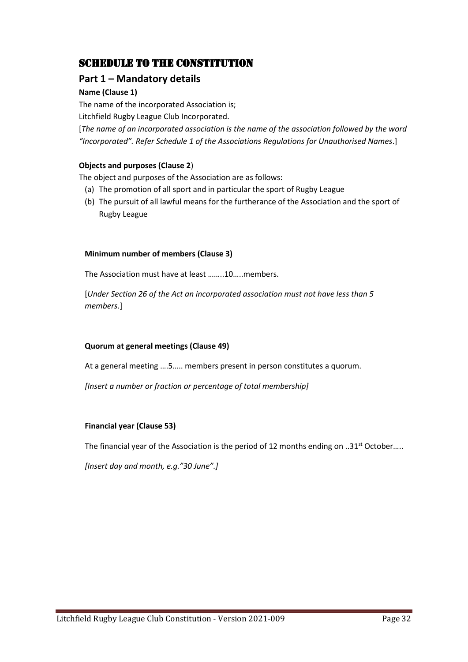# Schedule to the Constitution

# **Part 1 – Mandatory details**

# **Name (Clause 1)**

The name of the incorporated Association is;

Litchfield Rugby League Club Incorporated.

[*The name of an incorporated association is the name of the association followed by the word "Incorporated". Refer Schedule 1 of the Associations Regulations for Unauthorised Names*.]

### **Objects and purposes (Clause 2**)

The object and purposes of the Association are as follows:

- (a) The promotion of all sport and in particular the sport of Rugby League
- (b) The pursuit of all lawful means for the furtherance of the Association and the sport of Rugby League

### **Minimum number of members (Clause 3)**

The Association must have at least ……..10…..members.

[*Under Section 26 of the Act an incorporated association must not have less than 5 members*.]

### **Quorum at general meetings (Clause 49)**

At a general meeting ….5….. members present in person constitutes a quorum.

*[Insert a number or fraction or percentage of total membership]*

### **Financial year (Clause 53)**

The financial year of the Association is the period of 12 months ending on ..31<sup>st</sup> October.....

*[Insert day and month, e.g."30 June".]*